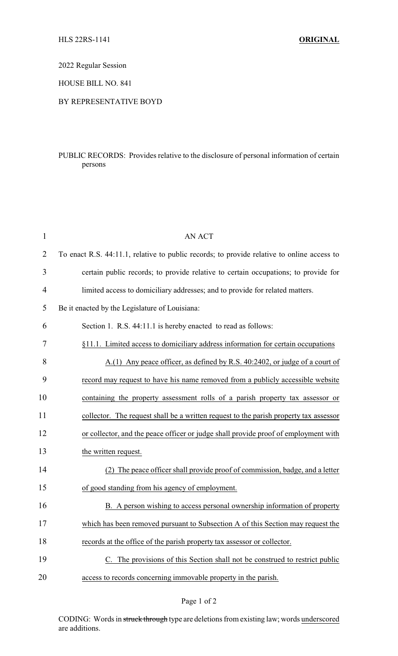2022 Regular Session

HOUSE BILL NO. 841

## BY REPRESENTATIVE BOYD

## PUBLIC RECORDS: Provides relative to the disclosure of personal information of certain persons

| $\mathbf{1}$   | <b>AN ACT</b>                                                                              |  |
|----------------|--------------------------------------------------------------------------------------------|--|
| $\overline{2}$ | To enact R.S. 44:11.1, relative to public records; to provide relative to online access to |  |
| 3              | certain public records; to provide relative to certain occupations; to provide for         |  |
| $\overline{4}$ | limited access to domiciliary addresses; and to provide for related matters.               |  |
| 5              | Be it enacted by the Legislature of Louisiana:                                             |  |
| 6              | Section 1. R.S. 44:11.1 is hereby enacted to read as follows:                              |  |
| 7              | §11.1. Limited access to domiciliary address information for certain occupations           |  |
| 8              | A.(1) Any peace officer, as defined by R.S. 40:2402, or judge of a court of                |  |
| 9              | record may request to have his name removed from a publicly accessible website             |  |
| 10             | containing the property assessment rolls of a parish property tax assessor or              |  |
| 11             | collector. The request shall be a written request to the parish property tax assessor      |  |
| 12             | or collector, and the peace officer or judge shall provide proof of employment with        |  |
| 13             | the written request.                                                                       |  |
| 14             | The peace officer shall provide proof of commission, badge, and a letter<br>(2)            |  |
| 15             | of good standing from his agency of employment.                                            |  |
| 16             | B. A person wishing to access personal ownership information of property                   |  |
| 17             | which has been removed pursuant to Subsection A of this Section may request the            |  |
| 18             | records at the office of the parish property tax assessor or collector.                    |  |
| 19             | The provisions of this Section shall not be construed to restrict public                   |  |
| 20             | access to records concerning immovable property in the parish.                             |  |

## Page 1 of 2

CODING: Words in struck through type are deletions from existing law; words underscored are additions.